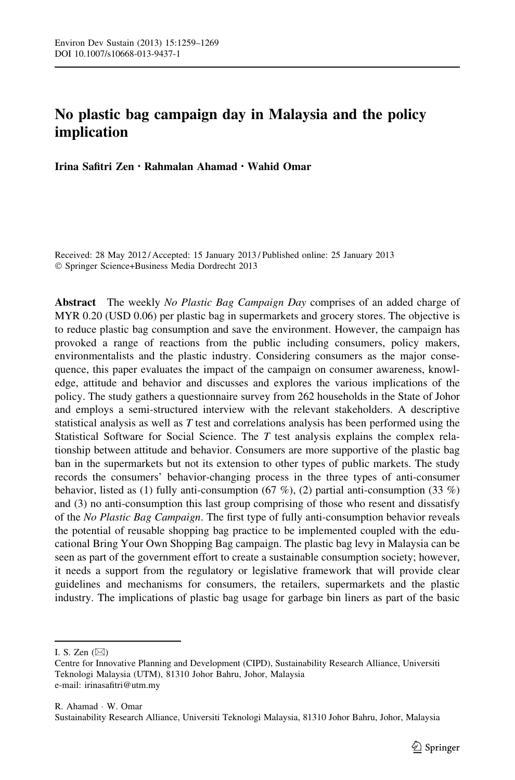# No plastic bag campaign day in Malaysia and the policy implication

Irina Safitri Zen • Rahmalan Ahamad • Wahid Omar

Received: 28 May 2012 / Accepted: 15 January 2013 / Published online: 25 January 2013 - Springer Science+Business Media Dordrecht 2013

Abstract The weekly No Plastic Bag Campaign Day comprises of an added charge of MYR 0.20 (USD 0.06) per plastic bag in supermarkets and grocery stores. The objective is to reduce plastic bag consumption and save the environment. However, the campaign has provoked a range of reactions from the public including consumers, policy makers, environmentalists and the plastic industry. Considering consumers as the major consequence, this paper evaluates the impact of the campaign on consumer awareness, knowledge, attitude and behavior and discusses and explores the various implications of the policy. The study gathers a questionnaire survey from 262 households in the State of Johor and employs a semi-structured interview with the relevant stakeholders. A descriptive statistical analysis as well as T test and correlations analysis has been performed using the Statistical Software for Social Science. The  $T$  test analysis explains the complex relationship between attitude and behavior. Consumers are more supportive of the plastic bag ban in the supermarkets but not its extension to other types of public markets. The study records the consumers' behavior-changing process in the three types of anti-consumer behavior, listed as (1) fully anti-consumption (67 %), (2) partial anti-consumption (33 %) and (3) no anti-consumption this last group comprising of those who resent and dissatisfy of the No Plastic Bag Campaign. The first type of fully anti-consumption behavior reveals the potential of reusable shopping bag practice to be implemented coupled with the educational Bring Your Own Shopping Bag campaign. The plastic bag levy in Malaysia can be seen as part of the government effort to create a sustainable consumption society; however, it needs a support from the regulatory or legislative framework that will provide clear guidelines and mechanisms for consumers, the retailers, supermarkets and the plastic industry. The implications of plastic bag usage for garbage bin liners as part of the basic

I. S. Zen  $(\boxtimes)$ 

Centre for Innovative Planning and Development (CIPD), Sustainability Research Alliance, Universiti Teknologi Malaysia (UTM), 81310 Johor Bahru, Johor, Malaysia e-mail: irinasafitri@utm.my

R. Ahamad - W. Omar Sustainability Research Alliance, Universiti Teknologi Malaysia, 81310 Johor Bahru, Johor, Malaysia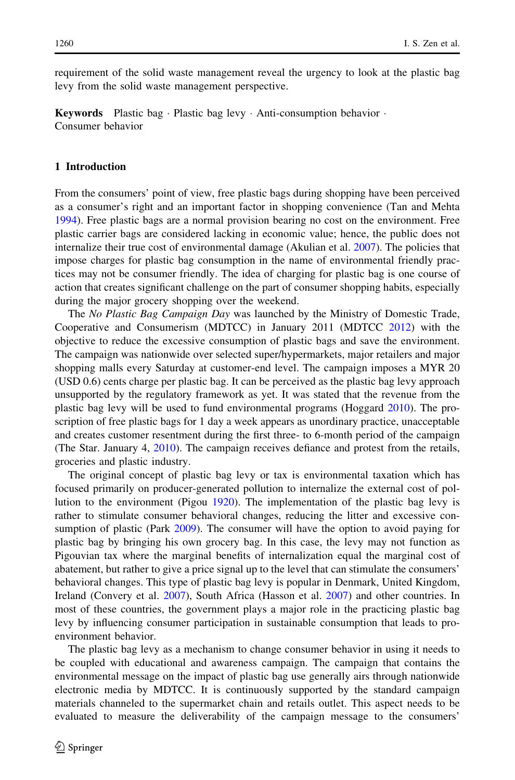requirement of the solid waste management reveal the urgency to look at the plastic bag levy from the solid waste management perspective.

**Keywords** Plastic bag  $\cdot$  Plastic bag levy  $\cdot$  Anti-consumption behavior  $\cdot$ Consumer behavior

# 1 Introduction

From the consumers' point of view, free plastic bags during shopping have been perceived as a consumer's right and an important factor in shopping convenience (Tan and Mehta [1994\)](#page-10-0). Free plastic bags are a normal provision bearing no cost on the environment. Free plastic carrier bags are considered lacking in economic value; hence, the public does not internalize their true cost of environmental damage (Akulian et al. [2007\)](#page-9-0). The policies that impose charges for plastic bag consumption in the name of environmental friendly practices may not be consumer friendly. The idea of charging for plastic bag is one course of action that creates significant challenge on the part of consumer shopping habits, especially during the major grocery shopping over the weekend.

The No Plastic Bag Campaign Day was launched by the Ministry of Domestic Trade, Cooperative and Consumerism (MDTCC) in January 2011 (MDTCC [2012\)](#page-10-0) with the objective to reduce the excessive consumption of plastic bags and save the environment. The campaign was nationwide over selected super/hypermarkets, major retailers and major shopping malls every Saturday at customer-end level. The campaign imposes a MYR 20 (USD 0.6) cents charge per plastic bag. It can be perceived as the plastic bag levy approach unsupported by the regulatory framework as yet. It was stated that the revenue from the plastic bag levy will be used to fund environmental programs (Hoggard [2010\)](#page-10-0). The proscription of free plastic bags for 1 day a week appears as unordinary practice, unacceptable and creates customer resentment during the first three- to 6-month period of the campaign (The Star. January 4, [2010](#page-10-0)). The campaign receives defiance and protest from the retails, groceries and plastic industry.

The original concept of plastic bag levy or tax is environmental taxation which has focused primarily on producer-generated pollution to internalize the external cost of pollution to the environment (Pigou [1920](#page-10-0)). The implementation of the plastic bag levy is rather to stimulate consumer behavioral changes, reducing the litter and excessive consumption of plastic (Park [2009\)](#page-10-0). The consumer will have the option to avoid paying for plastic bag by bringing his own grocery bag. In this case, the levy may not function as Pigouvian tax where the marginal benefits of internalization equal the marginal cost of abatement, but rather to give a price signal up to the level that can stimulate the consumers' behavioral changes. This type of plastic bag levy is popular in Denmark, United Kingdom, Ireland (Convery et al. [2007](#page-9-0)), South Africa (Hasson et al. [2007](#page-10-0)) and other countries. In most of these countries, the government plays a major role in the practicing plastic bag levy by influencing consumer participation in sustainable consumption that leads to proenvironment behavior.

The plastic bag levy as a mechanism to change consumer behavior in using it needs to be coupled with educational and awareness campaign. The campaign that contains the environmental message on the impact of plastic bag use generally airs through nationwide electronic media by MDTCC. It is continuously supported by the standard campaign materials channeled to the supermarket chain and retails outlet. This aspect needs to be evaluated to measure the deliverability of the campaign message to the consumers'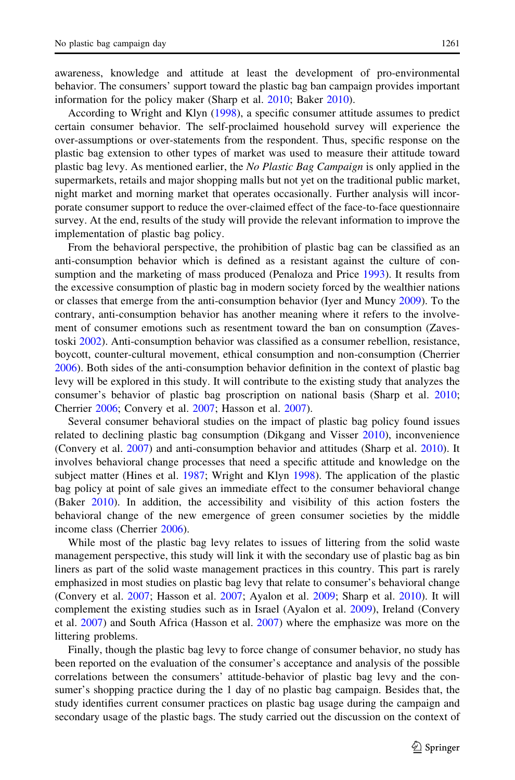information for the policy maker (Sharp et al. [2010](#page-10-0); Baker [2010\)](#page-9-0). According to Wright and Klyn [\(1998](#page-10-0)), a specific consumer attitude assumes to predict certain consumer behavior. The self-proclaimed household survey will experience the over-assumptions or over-statements from the respondent. Thus, specific response on the plastic bag extension to other types of market was used to measure their attitude toward plastic bag levy. As mentioned earlier, the No Plastic Bag Campaign is only applied in the supermarkets, retails and major shopping malls but not yet on the traditional public market, night market and morning market that operates occasionally. Further analysis will incorporate consumer support to reduce the over-claimed effect of the face-to-face questionnaire survey. At the end, results of the study will provide the relevant information to improve the implementation of plastic bag policy.

From the behavioral perspective, the prohibition of plastic bag can be classified as an anti-consumption behavior which is defined as a resistant against the culture of consumption and the marketing of mass produced (Penaloza and Price [1993\)](#page-10-0). It results from the excessive consumption of plastic bag in modern society forced by the wealthier nations or classes that emerge from the anti-consumption behavior (Iyer and Muncy [2009\)](#page-10-0). To the contrary, anti-consumption behavior has another meaning where it refers to the involvement of consumer emotions such as resentment toward the ban on consumption (Zavestoski [2002\)](#page-10-0). Anti-consumption behavior was classified as a consumer rebellion, resistance, boycott, counter-cultural movement, ethical consumption and non-consumption (Cherrier [2006\)](#page-9-0). Both sides of the anti-consumption behavior definition in the context of plastic bag levy will be explored in this study. It will contribute to the existing study that analyzes the consumer's behavior of plastic bag proscription on national basis (Sharp et al. [2010;](#page-10-0) Cherrier [2006](#page-9-0); Convery et al. [2007](#page-9-0); Hasson et al. [2007\)](#page-10-0).

Several consumer behavioral studies on the impact of plastic bag policy found issues related to declining plastic bag consumption (Dikgang and Visser [2010\)](#page-10-0), inconvenience (Convery et al. [2007](#page-9-0)) and anti-consumption behavior and attitudes (Sharp et al. [2010](#page-10-0)). It involves behavioral change processes that need a specific attitude and knowledge on the subject matter (Hines et al. [1987;](#page-10-0) Wright and Klyn [1998](#page-10-0)). The application of the plastic bag policy at point of sale gives an immediate effect to the consumer behavioral change (Baker [2010](#page-9-0)). In addition, the accessibility and visibility of this action fosters the behavioral change of the new emergence of green consumer societies by the middle income class (Cherrier [2006](#page-9-0)).

While most of the plastic bag levy relates to issues of littering from the solid waste management perspective, this study will link it with the secondary use of plastic bag as bin liners as part of the solid waste management practices in this country. This part is rarely emphasized in most studies on plastic bag levy that relate to consumer's behavioral change (Convery et al. [2007;](#page-9-0) Hasson et al. [2007;](#page-10-0) Ayalon et al. [2009](#page-9-0); Sharp et al. [2010\)](#page-10-0). It will complement the existing studies such as in Israel (Ayalon et al. [2009\)](#page-9-0), Ireland (Convery et al. [2007\)](#page-9-0) and South Africa (Hasson et al. [2007](#page-10-0)) where the emphasize was more on the littering problems.

Finally, though the plastic bag levy to force change of consumer behavior, no study has been reported on the evaluation of the consumer's acceptance and analysis of the possible correlations between the consumers' attitude-behavior of plastic bag levy and the consumer's shopping practice during the 1 day of no plastic bag campaign. Besides that, the study identifies current consumer practices on plastic bag usage during the campaign and secondary usage of the plastic bags. The study carried out the discussion on the context of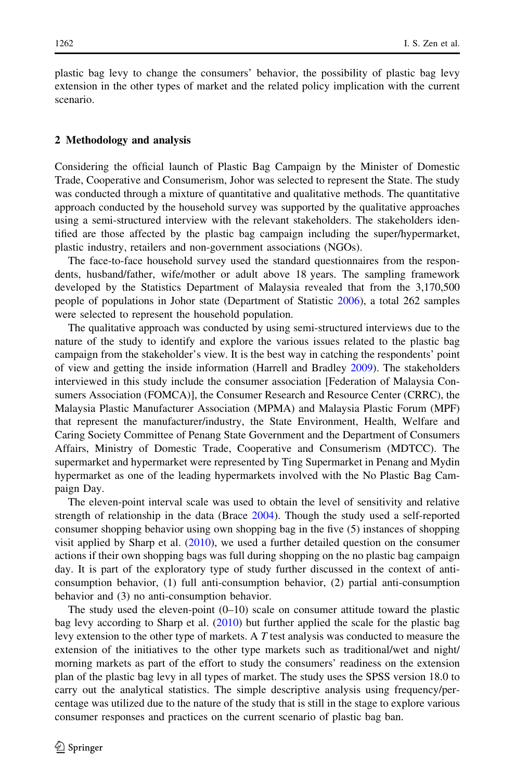plastic bag levy to change the consumers' behavior, the possibility of plastic bag levy extension in the other types of market and the related policy implication with the current scenario.

# 2 Methodology and analysis

Considering the official launch of Plastic Bag Campaign by the Minister of Domestic Trade, Cooperative and Consumerism, Johor was selected to represent the State. The study was conducted through a mixture of quantitative and qualitative methods. The quantitative approach conducted by the household survey was supported by the qualitative approaches using a semi-structured interview with the relevant stakeholders. The stakeholders identified are those affected by the plastic bag campaign including the super/hypermarket, plastic industry, retailers and non-government associations (NGOs).

The face-to-face household survey used the standard questionnaires from the respondents, husband/father, wife/mother or adult above 18 years. The sampling framework developed by the Statistics Department of Malaysia revealed that from the 3,170,500 people of populations in Johor state (Department of Statistic [2006](#page-9-0)), a total 262 samples were selected to represent the household population.

The qualitative approach was conducted by using semi-structured interviews due to the nature of the study to identify and explore the various issues related to the plastic bag campaign from the stakeholder's view. It is the best way in catching the respondents' point of view and getting the inside information (Harrell and Bradley [2009](#page-10-0)). The stakeholders interviewed in this study include the consumer association [Federation of Malaysia Consumers Association (FOMCA)], the Consumer Research and Resource Center (CRRC), the Malaysia Plastic Manufacturer Association (MPMA) and Malaysia Plastic Forum (MPF) that represent the manufacturer/industry, the State Environment, Health, Welfare and Caring Society Committee of Penang State Government and the Department of Consumers Affairs, Ministry of Domestic Trade, Cooperative and Consumerism (MDTCC). The supermarket and hypermarket were represented by Ting Supermarket in Penang and Mydin hypermarket as one of the leading hypermarkets involved with the No Plastic Bag Campaign Day.

The eleven-point interval scale was used to obtain the level of sensitivity and relative strength of relationship in the data (Brace [2004](#page-9-0)). Though the study used a self-reported consumer shopping behavior using own shopping bag in the five (5) instances of shopping visit applied by Sharp et al. ([2010\)](#page-10-0), we used a further detailed question on the consumer actions if their own shopping bags was full during shopping on the no plastic bag campaign day. It is part of the exploratory type of study further discussed in the context of anticonsumption behavior, (1) full anti-consumption behavior, (2) partial anti-consumption behavior and (3) no anti-consumption behavior.

The study used the eleven-point  $(0-10)$  scale on consumer attitude toward the plastic bag levy according to Sharp et al. ([2010\)](#page-10-0) but further applied the scale for the plastic bag levy extension to the other type of markets. A  $T$  test analysis was conducted to measure the extension of the initiatives to the other type markets such as traditional/wet and night/ morning markets as part of the effort to study the consumers' readiness on the extension plan of the plastic bag levy in all types of market. The study uses the SPSS version 18.0 to carry out the analytical statistics. The simple descriptive analysis using frequency/percentage was utilized due to the nature of the study that is still in the stage to explore various consumer responses and practices on the current scenario of plastic bag ban.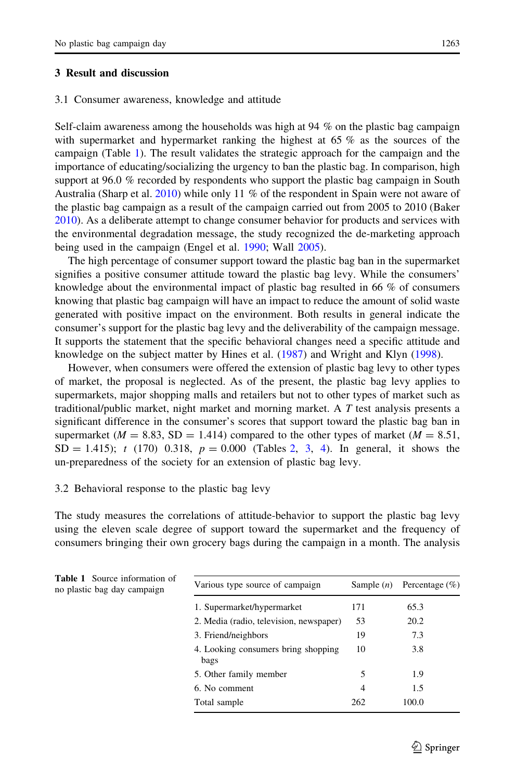# 3 Result and discussion

### 3.1 Consumer awareness, knowledge and attitude

Self-claim awareness among the households was high at 94 % on the plastic bag campaign with supermarket and hypermarket ranking the highest at 65 % as the sources of the campaign (Table 1). The result validates the strategic approach for the campaign and the importance of educating/socializing the urgency to ban the plastic bag. In comparison, high support at 96.0 % recorded by respondents who support the plastic bag campaign in South Australia (Sharp et al. [2010](#page-10-0)) while only 11 % of the respondent in Spain were not aware of the plastic bag campaign as a result of the campaign carried out from 2005 to 2010 (Baker [2010\)](#page-9-0). As a deliberate attempt to change consumer behavior for products and services with the environmental degradation message, the study recognized the de-marketing approach being used in the campaign (Engel et al. [1990;](#page-10-0) Wall [2005](#page-10-0)).

The high percentage of consumer support toward the plastic bag ban in the supermarket signifies a positive consumer attitude toward the plastic bag levy. While the consumers' knowledge about the environmental impact of plastic bag resulted in 66 % of consumers knowing that plastic bag campaign will have an impact to reduce the amount of solid waste generated with positive impact on the environment. Both results in general indicate the consumer's support for the plastic bag levy and the deliverability of the campaign message. It supports the statement that the specific behavioral changes need a specific attitude and knowledge on the subject matter by Hines et al. ([1987\)](#page-10-0) and Wright and Klyn [\(1998](#page-10-0)).

However, when consumers were offered the extension of plastic bag levy to other types of market, the proposal is neglected. As of the present, the plastic bag levy applies to supermarkets, major shopping malls and retailers but not to other types of market such as traditional/public market, night market and morning market. A T test analysis presents a significant difference in the consumer's scores that support toward the plastic bag ban in supermarket ( $M = 8.83$ , SD = 1.414) compared to the other types of market ( $M = 8.51$ ,  $SD = 1.415$  $SD = 1.415$  $SD = 1.415$ ; t (170) 0.[3](#page-5-0)18,  $p = 0.000$  (Tables [2](#page-5-0), 3, 4). In general, it shows the un-preparedness of the society for an extension of plastic bag levy.

# 3.2 Behavioral response to the plastic bag levy

The study measures the correlations of attitude-behavior to support the plastic bag levy using the eleven scale degree of support toward the supermarket and the frequency of consumers bringing their own grocery bags during the campaign in a month. The analysis

| <b>Table 1</b> Source information of<br>no plastic bag day campaign | Various type source of campaign             | Sample $(n)$   | Percentage $(\% )$ |  |
|---------------------------------------------------------------------|---------------------------------------------|----------------|--------------------|--|
|                                                                     | 1. Supermarket/hypermarket                  | 171            | 65.3               |  |
|                                                                     | 2. Media (radio, television, newspaper)     | 53             | 20.2               |  |
|                                                                     | 3. Friend/neighbors                         | 19             | 7.3                |  |
|                                                                     | 4. Looking consumers bring shopping<br>bags | 10             | 3.8                |  |
|                                                                     | 5. Other family member                      | 5              | 1.9                |  |
|                                                                     | 6. No comment                               | $\overline{4}$ | 1.5                |  |
|                                                                     | Total sample                                | 262            | 100.0              |  |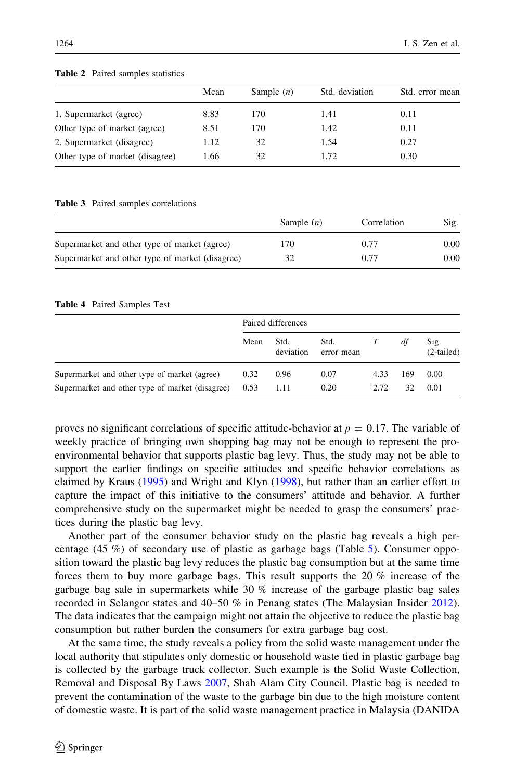|                                 | Mean | Sample $(n)$ | Std. deviation | Std. error mean |
|---------------------------------|------|--------------|----------------|-----------------|
| 1. Supermarket (agree)          | 8.83 | 170          | 1.41           | 0.11            |
| Other type of market (agree)    | 8.51 | 170          | 1.42           | 0.11            |
| 2. Supermarket (disagree)       | 1.12 | 32           | 1.54           | 0.27            |
| Other type of market (disagree) | 1.66 | 32           | 1.72           | 0.30            |

#### <span id="page-5-0"></span>Table 2 Paired samples statistics

### Table 3 Paired samples correlations

|                                                 | Sample $(n)$ | Correlation | Sig. |
|-------------------------------------------------|--------------|-------------|------|
| Supermarket and other type of market (agree)    | 170          | 0.77        | 0.00 |
| Supermarket and other type of market (disagree) | 32           | 0.77        | 0.00 |

### Table 4 Paired Samples Test

|                                                                                                 | Paired differences |                   |                    |              |           |                      |
|-------------------------------------------------------------------------------------------------|--------------------|-------------------|--------------------|--------------|-----------|----------------------|
|                                                                                                 | Mean               | Std.<br>deviation | Std.<br>error mean |              | df        | Sig.<br>$(2-tailed)$ |
| Supermarket and other type of market (agree)<br>Supermarket and other type of market (disagree) | 0.32<br>0.53       | 0.96<br>1.11      | 0.07<br>0.20       | 4.33<br>2.72 | 169<br>32 | 0.00<br>0.01         |

proves no significant correlations of specific attitude-behavior at  $p = 0.17$ . The variable of weekly practice of bringing own shopping bag may not be enough to represent the proenvironmental behavior that supports plastic bag levy. Thus, the study may not be able to support the earlier findings on specific attitudes and specific behavior correlations as claimed by Kraus [\(1995](#page-10-0)) and Wright and Klyn ([1998\)](#page-10-0), but rather than an earlier effort to capture the impact of this initiative to the consumers' attitude and behavior. A further comprehensive study on the supermarket might be needed to grasp the consumers' practices during the plastic bag levy.

Another part of the consumer behavior study on the plastic bag reveals a high percentage (45 %) of secondary use of plastic as garbage bags (Table [5\)](#page-6-0). Consumer opposition toward the plastic bag levy reduces the plastic bag consumption but at the same time forces them to buy more garbage bags. This result supports the 20 % increase of the garbage bag sale in supermarkets while 30  $\%$  increase of the garbage plastic bag sales recorded in Selangor states and 40–50 % in Penang states (The Malaysian Insider [2012](#page-10-0)). The data indicates that the campaign might not attain the objective to reduce the plastic bag consumption but rather burden the consumers for extra garbage bag cost.

At the same time, the study reveals a policy from the solid waste management under the local authority that stipulates only domestic or household waste tied in plastic garbage bag is collected by the garbage truck collector. Such example is the Solid Waste Collection, Removal and Disposal By Laws [2007,](#page-10-0) Shah Alam City Council. Plastic bag is needed to prevent the contamination of the waste to the garbage bin due to the high moisture content of domestic waste. It is part of the solid waste management practice in Malaysia (DANIDA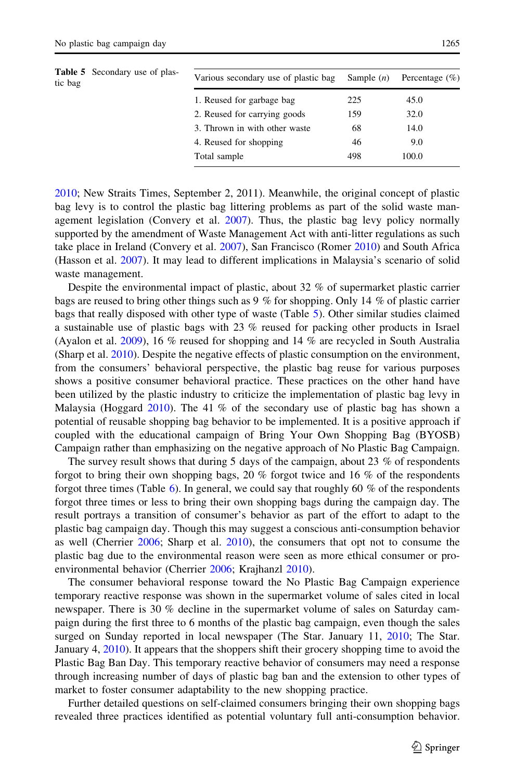<span id="page-6-0"></span>

| <b>Table 5</b> Secondary use of plas-<br>tic bag |                              | Various secondary use of plastic bag | Sample $(n)$ | Percentage $(\% )$ |
|--------------------------------------------------|------------------------------|--------------------------------------|--------------|--------------------|
|                                                  |                              | 1. Reused for garbage bag            | 225          | 45.0               |
|                                                  | 2. Reused for carrying goods | 159                                  | 32.0         |                    |
|                                                  |                              | 3. Thrown in with other waste        | 68           | 14.0               |
|                                                  |                              | 4. Reused for shopping               | 46           | 9.0                |
|                                                  |                              | Total sample                         | 498          | 100.0              |

[2010;](#page-9-0) New Straits Times, September 2, 2011). Meanwhile, the original concept of plastic bag levy is to control the plastic bag littering problems as part of the solid waste management legislation (Convery et al. [2007](#page-9-0)). Thus, the plastic bag levy policy normally supported by the amendment of Waste Management Act with anti-litter regulations as such take place in Ireland (Convery et al. [2007](#page-9-0)), San Francisco (Romer [2010\)](#page-10-0) and South Africa (Hasson et al. [2007\)](#page-10-0). It may lead to different implications in Malaysia's scenario of solid waste management.

Despite the environmental impact of plastic, about 32 % of supermarket plastic carrier bags are reused to bring other things such as 9 % for shopping. Only 14 % of plastic carrier bags that really disposed with other type of waste (Table 5). Other similar studies claimed a sustainable use of plastic bags with 23 % reused for packing other products in Israel (Ayalon et al. [2009\)](#page-9-0), 16 % reused for shopping and 14 % are recycled in South Australia (Sharp et al. [2010\)](#page-10-0). Despite the negative effects of plastic consumption on the environment, from the consumers' behavioral perspective, the plastic bag reuse for various purposes shows a positive consumer behavioral practice. These practices on the other hand have been utilized by the plastic industry to criticize the implementation of plastic bag levy in Malaysia (Hoggard [2010\)](#page-10-0). The 41 % of the secondary use of plastic bag has shown a potential of reusable shopping bag behavior to be implemented. It is a positive approach if coupled with the educational campaign of Bring Your Own Shopping Bag (BYOSB) Campaign rather than emphasizing on the negative approach of No Plastic Bag Campaign.

The survey result shows that during 5 days of the campaign, about 23  $\%$  of respondents forgot to bring their own shopping bags, 20 % forgot twice and 16 % of the respondents forgot three times (Table [6](#page-7-0)). In general, we could say that roughly 60 % of the respondents forgot three times or less to bring their own shopping bags during the campaign day. The result portrays a transition of consumer's behavior as part of the effort to adapt to the plastic bag campaign day. Though this may suggest a conscious anti-consumption behavior as well (Cherrier [2006;](#page-9-0) Sharp et al. [2010](#page-10-0)), the consumers that opt not to consume the plastic bag due to the environmental reason were seen as more ethical consumer or proenvironmental behavior (Cherrier [2006](#page-9-0); Krajhanzl [2010](#page-10-0)).

The consumer behavioral response toward the No Plastic Bag Campaign experience temporary reactive response was shown in the supermarket volume of sales cited in local newspaper. There is 30 % decline in the supermarket volume of sales on Saturday campaign during the first three to 6 months of the plastic bag campaign, even though the sales surged on Sunday reported in local newspaper (The Star. January 11, [2010](#page-10-0); The Star. January 4, [2010\)](#page-10-0). It appears that the shoppers shift their grocery shopping time to avoid the Plastic Bag Ban Day. This temporary reactive behavior of consumers may need a response through increasing number of days of plastic bag ban and the extension to other types of market to foster consumer adaptability to the new shopping practice.

Further detailed questions on self-claimed consumers bringing their own shopping bags revealed three practices identified as potential voluntary full anti-consumption behavior.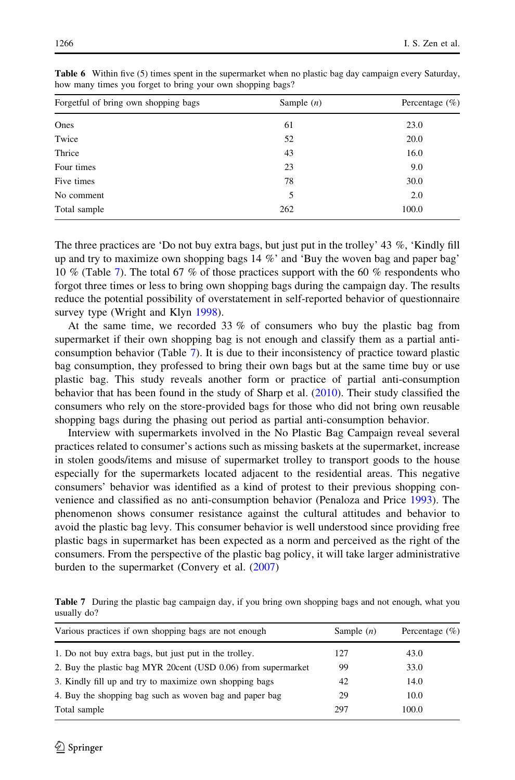| Forgetful of bring own shopping bags | Sample $(n)$ | Percentage $(\%)$ |  |  |
|--------------------------------------|--------------|-------------------|--|--|
| Ones                                 | 61           | 23.0              |  |  |
| Twice                                | 52           | 20.0              |  |  |
| Thrice                               | 43           | 16.0              |  |  |
| Four times                           | 23           | 9.0               |  |  |
| Five times                           | 78           | 30.0              |  |  |
| No comment                           | 5            | 2.0               |  |  |
| Total sample                         | 262          | 100.0             |  |  |

<span id="page-7-0"></span>Table 6 Within five (5) times spent in the supermarket when no plastic bag day campaign every Saturday, how many times you forget to bring your own shopping bags?

The three practices are 'Do not buy extra bags, but just put in the trolley' 43 %, 'Kindly fill up and try to maximize own shopping bags  $14\%$  and 'Buy the woven bag and paper bag' 10 % (Table 7). The total 67 % of those practices support with the 60 % respondents who forgot three times or less to bring own shopping bags during the campaign day. The results reduce the potential possibility of overstatement in self-reported behavior of questionnaire survey type (Wright and Klyn [1998\)](#page-10-0).

At the same time, we recorded 33 % of consumers who buy the plastic bag from supermarket if their own shopping bag is not enough and classify them as a partial anticonsumption behavior (Table 7). It is due to their inconsistency of practice toward plastic bag consumption, they professed to bring their own bags but at the same time buy or use plastic bag. This study reveals another form or practice of partial anti-consumption behavior that has been found in the study of Sharp et al. [\(2010\)](#page-10-0). Their study classified the consumers who rely on the store-provided bags for those who did not bring own reusable shopping bags during the phasing out period as partial anti-consumption behavior.

Interview with supermarkets involved in the No Plastic Bag Campaign reveal several practices related to consumer's actions such as missing baskets at the supermarket, increase in stolen goods/items and misuse of supermarket trolley to transport goods to the house especially for the supermarkets located adjacent to the residential areas. This negative consumers' behavior was identified as a kind of protest to their previous shopping convenience and classified as no anti-consumption behavior (Penaloza and Price [1993](#page-10-0)). The phenomenon shows consumer resistance against the cultural attitudes and behavior to avoid the plastic bag levy. This consumer behavior is well understood since providing free plastic bags in supermarket has been expected as a norm and perceived as the right of the consumers. From the perspective of the plastic bag policy, it will take larger administrative burden to the supermarket (Convery et al. [\(2007](#page-9-0))

Table 7 During the plastic bag campaign day, if you bring own shopping bags and not enough, what you usually do?

| Various practices if own shopping bags are not enough         | Sample $(n)$ | Percentage $(\% )$ |  |
|---------------------------------------------------------------|--------------|--------------------|--|
| 1. Do not buy extra bags, but just put in the trolley.        | 127          | 43.0               |  |
| 2. Buy the plastic bag MYR 20cent (USD 0.06) from supermarket | 99           | 33.0               |  |
| 3. Kindly fill up and try to maximize own shopping bags       | 42           | 14.0               |  |
| 4. Buy the shopping bag such as woven bag and paper bag       | 29           | 10.0               |  |
| Total sample                                                  | 297          | 100.0              |  |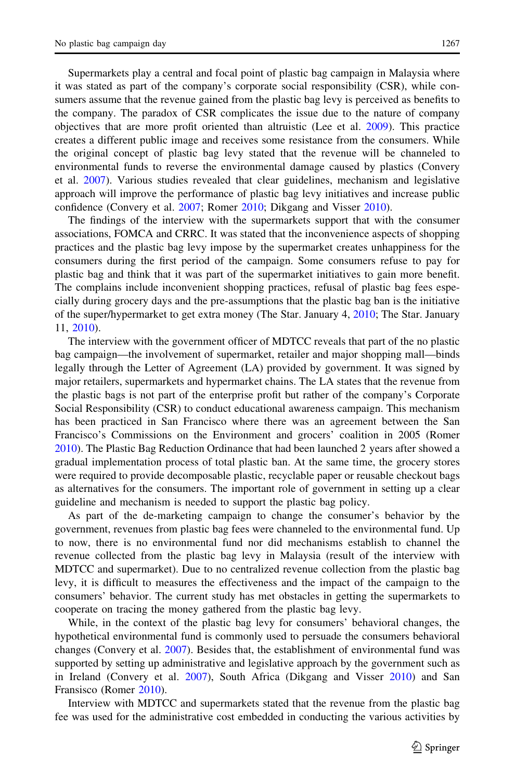Supermarkets play a central and focal point of plastic bag campaign in Malaysia where it was stated as part of the company's corporate social responsibility (CSR), while consumers assume that the revenue gained from the plastic bag levy is perceived as benefits to

the company. The paradox of CSR complicates the issue due to the nature of company objectives that are more profit oriented than altruistic (Lee et al. [2009\)](#page-10-0). This practice creates a different public image and receives some resistance from the consumers. While the original concept of plastic bag levy stated that the revenue will be channeled to environmental funds to reverse the environmental damage caused by plastics (Convery et al. [2007](#page-9-0)). Various studies revealed that clear guidelines, mechanism and legislative approach will improve the performance of plastic bag levy initiatives and increase public confidence (Convery et al. [2007](#page-9-0); Romer [2010](#page-10-0); Dikgang and Visser [2010\)](#page-10-0).

The findings of the interview with the supermarkets support that with the consumer associations, FOMCA and CRRC. It was stated that the inconvenience aspects of shopping practices and the plastic bag levy impose by the supermarket creates unhappiness for the consumers during the first period of the campaign. Some consumers refuse to pay for plastic bag and think that it was part of the supermarket initiatives to gain more benefit. The complains include inconvenient shopping practices, refusal of plastic bag fees especially during grocery days and the pre-assumptions that the plastic bag ban is the initiative of the super/hypermarket to get extra money (The Star. January 4, [2010](#page-10-0); The Star. January 11, [2010\)](#page-10-0).

The interview with the government officer of MDTCC reveals that part of the no plastic bag campaign—the involvement of supermarket, retailer and major shopping mall—binds legally through the Letter of Agreement (LA) provided by government. It was signed by major retailers, supermarkets and hypermarket chains. The LA states that the revenue from the plastic bags is not part of the enterprise profit but rather of the company's Corporate Social Responsibility (CSR) to conduct educational awareness campaign. This mechanism has been practiced in San Francisco where there was an agreement between the San Francisco's Commissions on the Environment and grocers' coalition in 2005 (Romer [2010\)](#page-10-0). The Plastic Bag Reduction Ordinance that had been launched 2 years after showed a gradual implementation process of total plastic ban. At the same time, the grocery stores were required to provide decomposable plastic, recyclable paper or reusable checkout bags as alternatives for the consumers. The important role of government in setting up a clear guideline and mechanism is needed to support the plastic bag policy.

As part of the de-marketing campaign to change the consumer's behavior by the government, revenues from plastic bag fees were channeled to the environmental fund. Up to now, there is no environmental fund nor did mechanisms establish to channel the revenue collected from the plastic bag levy in Malaysia (result of the interview with MDTCC and supermarket). Due to no centralized revenue collection from the plastic bag levy, it is difficult to measures the effectiveness and the impact of the campaign to the consumers' behavior. The current study has met obstacles in getting the supermarkets to cooperate on tracing the money gathered from the plastic bag levy.

While, in the context of the plastic bag levy for consumers' behavioral changes, the hypothetical environmental fund is commonly used to persuade the consumers behavioral changes (Convery et al. [2007\)](#page-9-0). Besides that, the establishment of environmental fund was supported by setting up administrative and legislative approach by the government such as in Ireland (Convery et al. [2007](#page-9-0)), South Africa (Dikgang and Visser [2010](#page-10-0)) and San Fransisco (Romer [2010](#page-10-0)).

Interview with MDTCC and supermarkets stated that the revenue from the plastic bag fee was used for the administrative cost embedded in conducting the various activities by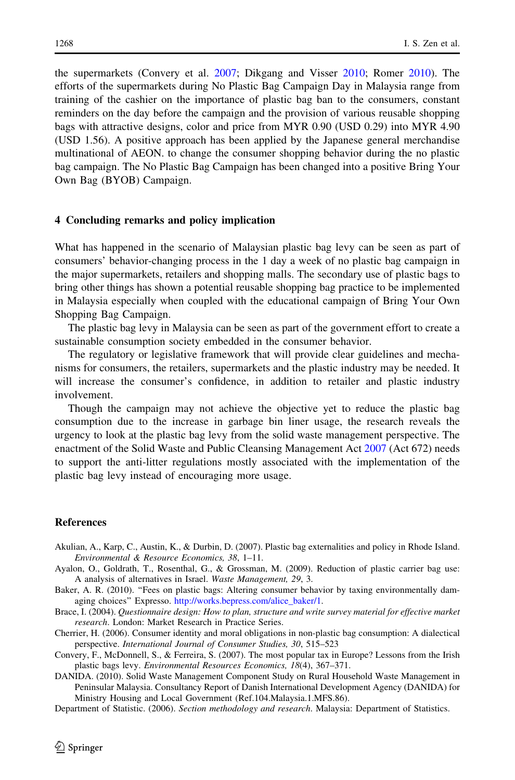<span id="page-9-0"></span>the supermarkets (Convery et al. 2007; Dikgang and Visser [2010;](#page-10-0) Romer [2010\)](#page-10-0). The efforts of the supermarkets during No Plastic Bag Campaign Day in Malaysia range from training of the cashier on the importance of plastic bag ban to the consumers, constant reminders on the day before the campaign and the provision of various reusable shopping bags with attractive designs, color and price from MYR 0.90 (USD 0.29) into MYR 4.90 (USD 1.56). A positive approach has been applied by the Japanese general merchandise multinational of AEON. to change the consumer shopping behavior during the no plastic bag campaign. The No Plastic Bag Campaign has been changed into a positive Bring Your Own Bag (BYOB) Campaign.

# 4 Concluding remarks and policy implication

What has happened in the scenario of Malaysian plastic bag levy can be seen as part of consumers' behavior-changing process in the 1 day a week of no plastic bag campaign in the major supermarkets, retailers and shopping malls. The secondary use of plastic bags to bring other things has shown a potential reusable shopping bag practice to be implemented in Malaysia especially when coupled with the educational campaign of Bring Your Own Shopping Bag Campaign.

The plastic bag levy in Malaysia can be seen as part of the government effort to create a sustainable consumption society embedded in the consumer behavior.

The regulatory or legislative framework that will provide clear guidelines and mechanisms for consumers, the retailers, supermarkets and the plastic industry may be needed. It will increase the consumer's confidence, in addition to retailer and plastic industry involvement.

Though the campaign may not achieve the objective yet to reduce the plastic bag consumption due to the increase in garbage bin liner usage, the research reveals the urgency to look at the plastic bag levy from the solid waste management perspective. The enactment of the Solid Waste and Public Cleansing Management Act [2007](#page-10-0) (Act 672) needs to support the anti-litter regulations mostly associated with the implementation of the plastic bag levy instead of encouraging more usage.

### References

- Akulian, A., Karp, C., Austin, K., & Durbin, D. (2007). Plastic bag externalities and policy in Rhode Island. Environmental & Resource Economics, 38, 1–11.
- Ayalon, O., Goldrath, T., Rosenthal, G., & Grossman, M. (2009). Reduction of plastic carrier bag use: A analysis of alternatives in Israel. Waste Management, 29, 3.
- Baker, A. R. (2010). "Fees on plastic bags: Altering consumer behavior by taxing environmentally damaging choices'' Expresso. [http://works.bepress.com/alice\\_baker/1](http://works.bepress.com/alice_baker/1).
- Brace, I. (2004). Questionnaire design: How to plan, structure and write survey material for effective market research. London: Market Research in Practice Series.
- Cherrier, H. (2006). Consumer identity and moral obligations in non-plastic bag consumption: A dialectical perspective. International Journal of Consumer Studies, 30, 515–523
- Convery, F., McDonnell, S., & Ferreira, S. (2007). The most popular tax in Europe? Lessons from the Irish plastic bags levy. Environmental Resources Economics, 18(4), 367–371.
- DANIDA. (2010). Solid Waste Management Component Study on Rural Household Waste Management in Peninsular Malaysia. Consultancy Report of Danish International Development Agency (DANIDA) for Ministry Housing and Local Government (Ref.104.Malaysia.1.MFS.86).

Department of Statistic. (2006). Section methodology and research. Malaysia: Department of Statistics.